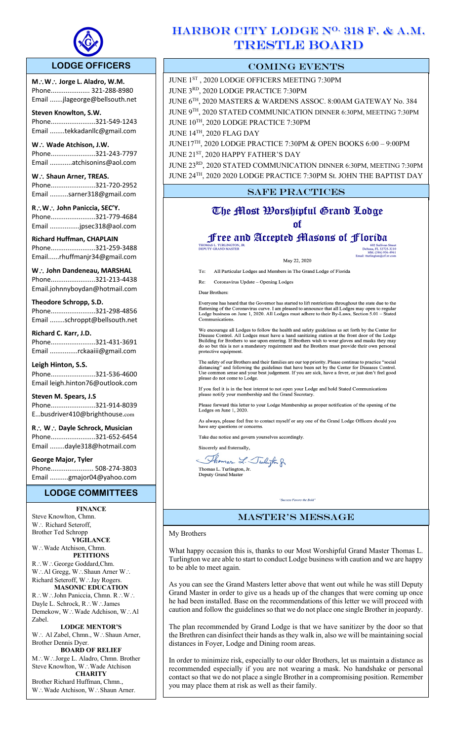

l,

# **LODGE OFFICERS**

**M**\**W**\ **Jorge L. Aladro, W.M.** Phone..................... 321-288-8980 Email .......jlageorge@bellsouth.net

**Steven Knowlton, S.W.** Phone........................321-549-1243 Email ........tekkadanllc@gmail.com

W. **Wade Atchison, J.W.** Phone........................321-243-7797 Email ............atchisonins@aol.com

W. . Shaun Arner, TREAS. Phone........................321-720-2952 Email ..........sarner318@gmail.com

**R**\**W**\ **John Paniccia, SEC'Y.** Phone........................321-779-4684 Email ................jpsec318@aol.com

**Richard Huffman, CHAPLAIN** Phone........................321-259-3488 Email......rhuffmanjr34@gmail.com

W. **John Dandeneau, MARSHAL** Phone........................321-213-4438 Email.johnnyboydan@hotmail.com

**Theodore Schropp, S.D.**  Phone........................321-298-4856 Email ........schroppt@bellsouth.net

**Richard C. Karr, J.D.** Phone........................321-431-3691 Email ...............rckaaiii@gmail.com

**Leigh Hinton, S.S.** Phone........................321-536-4600 Email leigh.hinton76@outlook.com

**Steven M. Spears, J.S** Phone........................321-914-8039 E…busdriver410@brighthouse.com

**R**\ **W**\ **Dayle Schrock, Musician**  Phone........................321-652-6454 Email ........dayle318@hotmail.com

**George Major, Tyler**  Phone....................... 508-274-3803 Email ..........gmajor04@yahoo.com

# **LODGE COMMITTEES**

**FINANCE**

Steve Knowlton, Chmn. W.: Richard Seteroff, Brother Ted Schropp **VIGILANCE** W.: Wade Atchison, Chmn. **PETITIONS** R∴W∴George Goddard,Chm. W.: Al Gregg, W.: Shaun Arner W.: Richard Seteroff, W∴Jay Rogers. **MASONIC EDUCATION** R.: W.: John Paniccia, Chmn. R.: W.: Dayle L. Schrock, R∴W∴James Demekow, W∴Wade Adchison, W∴Al Zabel.

**LODGE MENTOR'S** W.: Al Zabel, Chmn., W.: Shaun Arner, Brother Dennis Dyer.

**BOARD OF RELIEF** M.: W∴Jorge L. Aladro, Chmn. Brother Steve Knowlton, W∴Wade Atchison **CHARITY**

Brother Richard Huffman, Chmn., W.: Wade Atchison, W.: Shaun Arner.

# HARBOR CITY LODGE N<sup>O.</sup> 318 F. & A.M. TRESTLE BOARD

# COMING EVENTS

JUNE 1ST , 2020 LODGE OFFICERS MEETING 7:30PM JUNE 3RD, 2020 LODGE PRACTICE 7:30PM JUNE 6TH, 2020 MASTERS & WARDENS ASSOC. 8:00AM GATEWAY No. 384 JUNE 9TH, 2020 STATED COMMUNICATION DINNER 6:30PM, MEETING 7:30PM JUNE 10TH, 2020 LODGE PRACTICE 7:30PM JUNE 14TH, 2020 FLAG DAY JUNE17TH, 2020 LODGE PRACTICE 7:30PM & OPEN BOOKS 6:00 – 9:00PM JUNE 21<sup>ST</sup>, 2020 HAPPY FATHER'S DAY JUNE 23RD, 2020 STATED COMMUNICATION DINNER 6:30PM, MEETING 7:30PM JUNE 24TH, 2020 2020 LODGE PRACTICE 7:30PM St. JOHN THE BAPTIST DAY **SAFE PRACTICES** 

# The Most Worshipful Grand Lodge of

# Free and Accepted Masons of Florida **THOMA**

May 22, 2020

602 Sullivan Street<br>Deltona, FL 32725-3210<br>Mbl. (386) 956-4961

To: All Particular Lodges and Members in The Grand Lodge of Florida

Re: Coronavirus Update - Opening Lodges

Dear Brothers:

Everyone has heard that the Governor has started to lift restrictions throughout the state due to the flattening of the Coronavirus curve. I am pleased to announce that all Lodges may open to regular Lodge business on June Communications.

We encourage all Lodges to follow the health and safety guidelines as set forth by the Center for Disease Control. All Lodges must have a hand sanitizing station at the front door of the Lodge Building for Brothers to use protective equipment.

The safety of our Brothers and their families are our top priority. Please continue to practice "social distancing" and following the guidelines that have been set by the Center for Diseases Control. Use common sense and y

If you feel it is in the best interest to not open your Lodge and hold Stated Communications please notify your membership and the Grand Secretary.

ase forward this letter to your Lodge Membership as proper notification of the opening of the Lodges on June 1, 2020.

As always, please feel free to contact myself or any one of the Grand Lodge Officers should you have any questions or concerns.

Take due notice and govern yourselves accordingly.

Sincerely and fraternally,

Thomas L. Twington & Thomas L. Turlington, Jr.<br>Deputy Grand Master

# master's message

"Success Favors the Bold"

My Brothers

What happy occasion this is, thanks to our Most Worshipful Grand Master Thomas L. Turlington we are able to start to conduct Lodge business with caution and we are happy to be able to meet again.

As you can see the Grand Masters letter above that went out while he was still Deputy Grand Master in order to give us a heads up of the changes that were coming up once he had been installed. Base on the recommendations of this letter we will proceed with caution and follow the guidelines so that we do not place one single Brother in jeopardy.

The plan recommended by Grand Lodge is that we have sanitizer by the door so that the Brethren can disinfect their hands as they walk in, also we will be maintaining social distances in Foyer, Lodge and Dining room areas.

In order to minimize risk, especially to our older Brothers, let us maintain a distance as recommended especially if you are not wearing a mask. No handshake or personal contact so that we do not place a single Brother in a compromising position. Remember you may place them at risk as well as their family.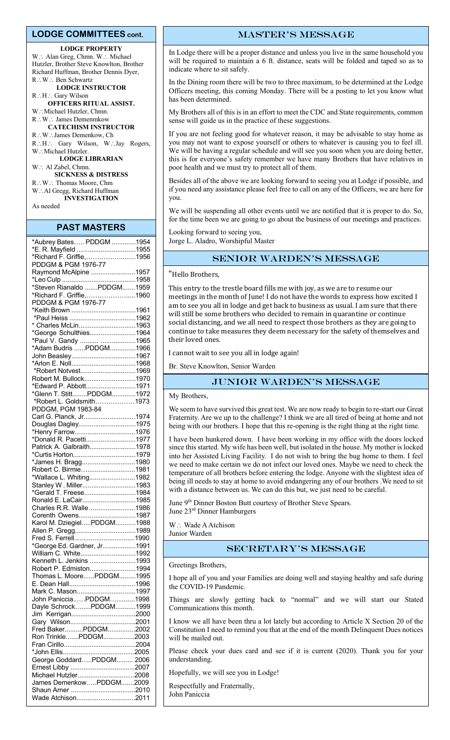#### **LODGE COMMITTEES cont.**

#### **LODGE PROPERTY**

W.: Alan Greg, Chmn. W.: Michael Hutzler, Brother Steve Knowlton, Brother Richard Huffman, Brother Dennis Dyer,  $R\colon W\colon B$ en Schwartz **LODGE INSTRUCTOR**

R.: H.: Gary Wilson **OFFICERS RITUAL ASSIST.**

W.: Michael Hutzler, Chmn. R∴W∴ James Demenmkow **CATECHISM INSTRUCTOR**

R∴W∴James Demenkow, Ch R.H.: Gary Wilson, W.Jay Rogers, W.: Michael Hutzler. **LODGE LIBRARIAN** W: Al Zabel, Chmn. **SICKNESS & DISTRESS** R∴W∴ Thomas Moore, Chm

W∴Al Gregg, Richard Huffman **INVESTIGATION** As needed

#### **PAST MASTERS**

| *Aubrey Bates PDDGM 1954                        |  |
|-------------------------------------------------|--|
| *E. R. Mayfield 1955                            |  |
| *Richard F. Griffie,1956                        |  |
| PDDGM & PGM 1976-77                             |  |
| Raymond McAlpine 1957                           |  |
|                                                 |  |
| *Steven Rianaldo PDDGM1959                      |  |
|                                                 |  |
| *Richard F. Griffie,1960<br>PDDGM & PGM 1976-77 |  |
| *Keith Brown 1961                               |  |
|                                                 |  |
| * Charles McLin1963                             |  |
| *George Schulthies1964                          |  |
|                                                 |  |
| *Paul V. Gandy  1965                            |  |
| *Adam Budris PDDGM1966                          |  |
| John Beasley1967                                |  |
|                                                 |  |
| *Robert Notvest1969                             |  |
| Robert M. Bullock1970                           |  |
| *Edward P. Abbott1971                           |  |
| *Glenn T. StittPDDGM1972                        |  |
| *Robert L. Goldsmith1973                        |  |
| PDDGM, PGM 1983-84                              |  |
| Carl G. Planck, Jr1974                          |  |
| Douglas Dagley1975                              |  |
| *Henry Farrow1976                               |  |
| *Donald R. Pacetti1977                          |  |
| Patrick A. Galbraith1978                        |  |
|                                                 |  |
| *James H. Bragg1980                             |  |
| Robert C. Birmie1981                            |  |
| *Wallace L. Whiting1982                         |  |
| Stanley W. Miller1983                           |  |
| *Gerald T. Freese1984                           |  |
| Ronald E. LaCair1985                            |  |
| Charles R.R. Walle1986                          |  |
| Corenth Owens1987                               |  |
| Karol M. DziegielPDDGM1988                      |  |
| Allen P. Gregg1989                              |  |
|                                                 |  |
| *George Ed. Gardner, Jr1991                     |  |
|                                                 |  |
| William C. White1992                            |  |
| Kenneth L. Jenkins 1993                         |  |
| Robert P. Edmiston1994                          |  |
| Thomas L. MoorePDDGM1995                        |  |
|                                                 |  |
| Mark C. Mason1997                               |  |
| John PanicciaPDDGM1998                          |  |
| Dayle SchrockPDDGM1999                          |  |
|                                                 |  |
| Gary Wilson2001                                 |  |
| Fred BakerPDDGM2002                             |  |
| Ron TrinklePDDGM2003                            |  |
|                                                 |  |
|                                                 |  |
| George GoddardPDDGM 2006                        |  |
|                                                 |  |
| Michael Hutzler2008                             |  |
| James DemenkowPDDGM2009                         |  |
|                                                 |  |
| Wade Atchison2011                               |  |

# master's message

In Lodge there will be a proper distance and unless you live in the same household you will be required to maintain a 6 ft. distance, seats will be folded and taped so as to indicate where to sit safely.

In the Dining room there will be two to three maximum, to be determined at the Lodge Officers meeting, this coming Monday. There will be a posting to let you know what has been determined.

My Brothers all of this is in an effort to meet the CDC and State requirements, common sense will guide us in the practice of these suggestions.

If you are not feeling good for whatever reason, it may be advisable to stay home as you may not want to expose yourself or others to whatever is causing you to feel ill. We will be having a regular schedule and will see you soon when you are doing better, this is for everyone's safety remember we have many Brothers that have relatives in poor health and we must try to protect all of them.

Besides all of the above we are looking forward to seeing you at Lodge if possible, and if you need any assistance please feel free to call on any of the Officers, we are here for you.

We will be suspending all other events until we are notified that it is proper to do. So, for the time been we are going to go about the business of our meetings and practices.

Looking forward to seeing you, Jorge L. Aladro, Worshipful Master

# SENIOR WARDEN'S MESSAGE

"Hello Brothers,

This entry to the trestle board fills me with joy, as we are to resume our meetings in the month of June! I do not have the words to express how excited I am to see you all in lodge and get back to business as usual. I am sure that there will still be some brothers who decided to remain in quarantine or continue social distancing, and we all need to respect those brothers as they are going to continue to take measures they deem necessary for the safety of themselves and their loved ones.

I cannot wait to see you all in lodge again!

Br. Steve Knowlton, Senior Warden

# Junior Warden's message

#### My Brothers,

We seem to have survived this great test. We are now ready to begin to re-start our Great Fraternity. Are we up to the challenge? I think we are all tired of being at home and not being with our brothers. I hope that this re-opening is the right thing at the right time.

I have been hunkered down. I have been working in my office with the doors locked since this started. My wife has been well, but isolated in the house. My mother is locked into her Assisted Living Facility. I do not wish to bring the bug home to them. I feel we need to make certain we do not infect our loved ones. Maybe we need to check the temperature of all brothers before entering the lodge. Anyone with the slightest idea of being ill needs to stay at home to avoid endangering any of our brothers .We need to sit with a distance between us. We can do this but, we just need to be careful.

June 9<sup>th</sup> Dinner Boston Butt courtesy of Brother Steve Spears. June 23rd Dinner Hamburgers

W: Wade A Atchison Junior Warden

### Secretary's message

Greetings Brothers,

I hope all of you and your Families are doing well and staying healthy and safe during the COVID-19 Pandemic.

Things are slowly getting back to "normal" and we will start our Stated Communications this month.

I know we all have been thru a lot lately but according to Article X Section 20 of the Constitution I need to remind you that at the end of the month Delinquent Dues notices will be mailed out.

Please check your dues card and see if it is current (2020). Thank you for your understanding.

Hopefully, we will see you in Lodge!

Respectfully and Fraternally, John Paniccia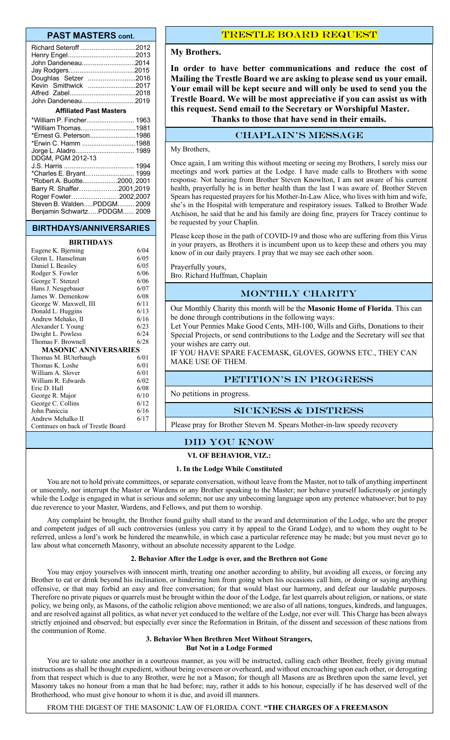#### **PAST MASTERS cont.**

| John Dandeneau2014<br>Doughlas Setzer 2016<br>Kevin Smithwick 2017 |      |  |
|--------------------------------------------------------------------|------|--|
| John Dandeneau2019                                                 |      |  |
| <b>Affiliated Past Masters</b>                                     |      |  |
|                                                                    |      |  |
| *William Thomas1981                                                |      |  |
| *Ernest G. Peterson1986                                            |      |  |
| *Erwin C. Hamm 1988                                                |      |  |
| Jorge L. Aladro 1989                                               |      |  |
| DDGM, PGM 2012-13                                                  |      |  |
| $\overline{C}$ Horric $\overline{C}$                               | 1001 |  |

| الص العربي المستحدث المستحدث العالمي العالمي العالمي العالمي العالمي العالمي العالمي العالمي العالمي |  |
|------------------------------------------------------------------------------------------------------|--|
| *Charles E. Bryant 1999                                                                              |  |
| *Robert A. Buotte2000, 2001                                                                          |  |
| Barry R. Shaffer2001,2019                                                                            |  |
| Roger Fowler2002,2007                                                                                |  |
| Steven B. WaldenPDDGM 2009                                                                           |  |
| Beniamin SchwartzPDDGM 2009                                                                          |  |

#### **BIRTHDAYS/ANNIVERSARIES**

#### **BIRTHDAYS**

| Eugene K. Bjerning                 | 6/04 |
|------------------------------------|------|
| Glenn L. Hanselman                 | 6/05 |
| Daniel L Beasley                   | 6/05 |
| Rodger S. Fowler                   | 6/06 |
| George T. Stenzel                  | 6/06 |
| Hans J. Neugebauer                 | 6/07 |
| James W. Demenkow                  | 6/08 |
| George W. Maxwell, III             | 6/11 |
| Donald L. Huggins                  | 6/13 |
| Andrew Mehako, II                  | 6/16 |
| Alexander I. Young                 | 6/23 |
| Dwight L. Powless                  | 6/24 |
| Thomas F. Brownell                 | 6/28 |
| MASONIC ANNIVERSARIES              |      |
| Thomas M. BUterbaugh               | 6/01 |
| Thomas K. Loshe                    | 6/01 |
| William A. Slover                  | 6/01 |
| William R. Edwards                 | 6/02 |
| Eric D. Hall                       | 6/08 |
| George R. Major                    | 6/10 |
| George C. Collins                  | 6/12 |
| John Paniccia                      | 6/16 |
| Andrew Mehalko II                  | 6/17 |
| Continues on back of Trestle Board |      |

Trestle board request

#### **My Brothers.**

**In order to have better communications and reduce the cost of Mailing the Trestle Board we are asking to please send us your email. Your email will be kept secure and will only be used to send you the Trestle Board. We will be most appreciative if you can assist us with this request. Send email to the Secretary or Worshipful Master. Thanks to those that have send in their emails.**

### CHAPLAIN's message

#### My Brothers,

Once again, I am writing this without meeting or seeing my Brothers, I sorely miss our meetings and work parties at the Lodge. I have made calls to Brothers with some response. Not hearing from Brother Steven Knowlton, I am not aware of his current health, prayerfully he is in better health than the last I was aware of. Brother Steven Spears has requested prayers for his Mother-In-Law Alice, who lives with him and wife, she's in the Hospital with temperature and respiratory issues. Talked to Brother Wade Atchison, he said that he and his family are doing fine, prayers for Tracey continue to be requested by your Chaplin.

Please keep those in the path of COVID-19 and those who are suffering from this Virus in your prayers, as Brothers it is incumbent upon us to keep these and others you may know of in our daily prayers. I pray that we may see each other soon.

Prayerfully yours, Bro. Richard Huffman, Chaplain

### MONTHLY CHARITY

Our Monthly Charity this month will be the **Masonic Home of Florida**. This can be done through contributions in the following ways:

Let Your Pennies Make Good Cents, MH-100, Wills and Gifts, Donations to their Special Projects, or send contributions to the Lodge and the Secretary will see that your wishes are carry out.

IF YOU HAVE SPARE FACEMASK, GLOVES, GOWNS ETC., THEY CAN MAKE USE OF THEM.

#### PETITION'S IN PROGRESS

No petitions in progress.

#### Sickness & distress

Please pray for Brother Steven M. Spears Mother-in-law speedy recovery

#### Did you know

#### **VI. OF BEHAVIOR, VIZ.:**

#### **1. In the Lodge While Constituted**

You are not to hold private committees, or separate conversation, without leave from the Master, not to talk of anything impertinent or unseemly, nor interrupt the Master or Wardens or any Brother speaking to the Master; nor behave yourself ludicrously or jestingly while the Lodge is engaged in what is serious and solemn; nor use any unbecoming language upon any pretence whatsoever; but to pay due reverence to your Master, Wardens, and Fellows, and put them to worship.

Any complaint be brought, the Brother found guilty shall stand to the award and determination of the Lodge, who are the proper and competent judges of all such controversies (unless you carry it by appeal to the Grand Lodge), and to whom they ought to be referred, unless a lord's work be hindered the meanwhile, in which case a particular reference may be made; but you must never go to law about what concerneth Masonry, without an absolute necessity apparent to the Lodge.

#### **2. Behavior After the Lodge is over, and the Brethren not Gone**

You may enjoy yourselves with innocent mirth, treating one another according to ability, but avoiding all excess, or forcing any Brother to eat or drink beyond his inclination, or hindering him from going when his occasions call him, or doing or saying anything offensive, or that may forbid an easy and free conversation; for that would blast our harmony, and defeat our laudable purposes. Therefore no private piques or quarrels must be brought within the door of the Lodge, far lest quarrels about religion, or nations, or state policy, we being only, as Masons, of the catholic religion above mentioned; we are also of all nations, tongues, kindreds, and languages, and are resolved against all politics, as what never yet conduced to the welfare of the Lodge, nor ever will. This Charge has been always strictly enjoined and observed; but especially ever since the Reformation in Britain, of the dissent and secession of these nations from the communion of Rome.

#### **3. Behavior When Brethren Meet Without Strangers, But Not in a Lodge Formed**

You are to salute one another in a courteous manner, as you will be instructed, calling each other Brother, freely giving mutual instructions as shall be thought expedient, without being overseen or overheard, and without encroaching upon each other, or derogating from that respect which is due to any Brother, were he not a Mason; for though all Masons are as Brethren upon the same level, yet Masonry takes no honour from a man that he had before; nay, rather it adds to his honour, especially if he has deserved well of the Brotherhood, who must give honour to whom it is due, and avoid ill manners.

FROM THE DIGEST OF THE MASONIC LAW OF FLORIDA CONT. **"THE CHARGES OF A FREEMASON**